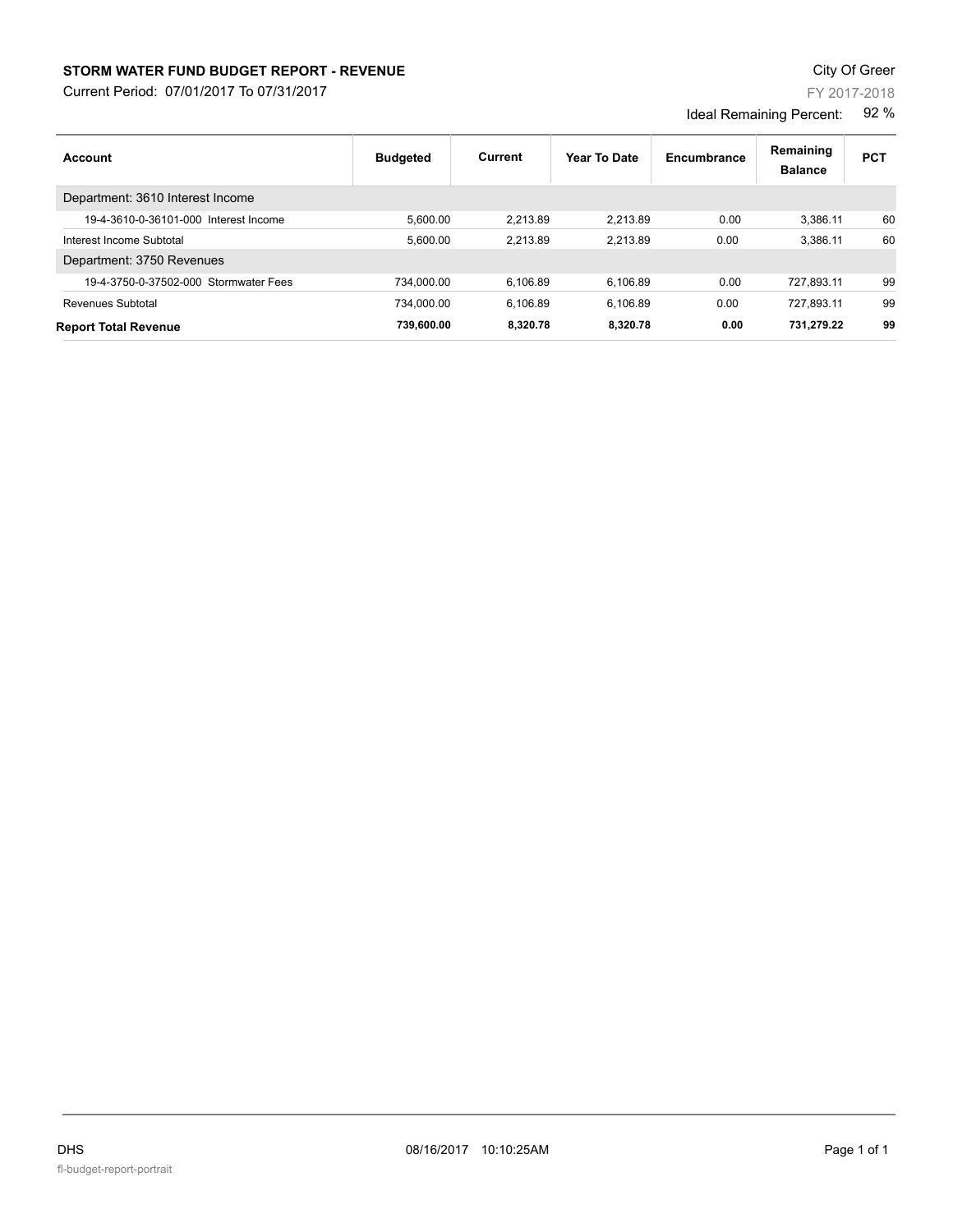## **STORM WATER FUND BUDGET REPORT - REVENUE CONTEXT AND REPORT ASSESSMENT OF A STORM WATER FUND BUDGET REPORT - REVENUE**

Current Period: 07/01/2017 To 07/31/2017

Ideal Remaining Percent: 92 %

| Account                               | <b>Budgeted</b> | Current  | Year To Date | Encumbrance | Remaining<br><b>Balance</b> | <b>PCT</b> |
|---------------------------------------|-----------------|----------|--------------|-------------|-----------------------------|------------|
| Department: 3610 Interest Income      |                 |          |              |             |                             |            |
| 19-4-3610-0-36101-000 Interest Income | 5.600.00        | 2.213.89 | 2.213.89     | 0.00        | 3.386.11                    | 60         |
| Interest Income Subtotal              | 5.600.00        | 2.213.89 | 2.213.89     | 0.00        | 3.386.11                    | 60         |
| Department: 3750 Revenues             |                 |          |              |             |                             |            |
| 19-4-3750-0-37502-000 Stormwater Fees | 734.000.00      | 6.106.89 | 6.106.89     | 0.00        | 727.893.11                  | 99         |
| Revenues Subtotal                     | 734.000.00      | 6.106.89 | 6.106.89     | 0.00        | 727.893.11                  | 99         |
| <b>Report Total Revenue</b>           | 739.600.00      | 8.320.78 | 8.320.78     | 0.00        | 731.279.22                  | 99         |